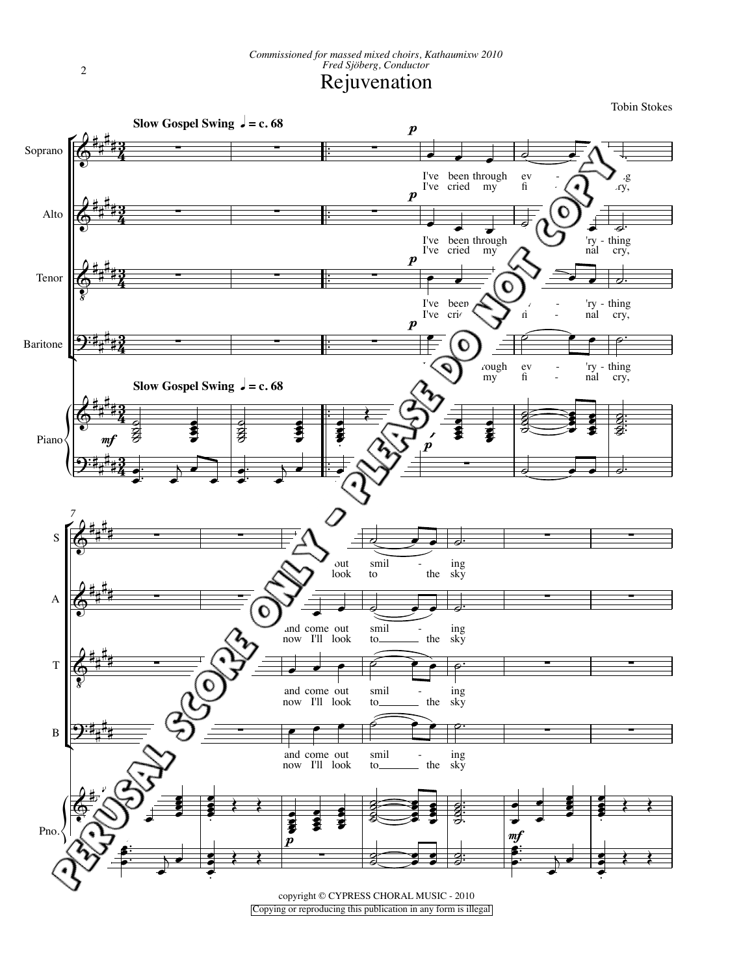Tobin Stokes



2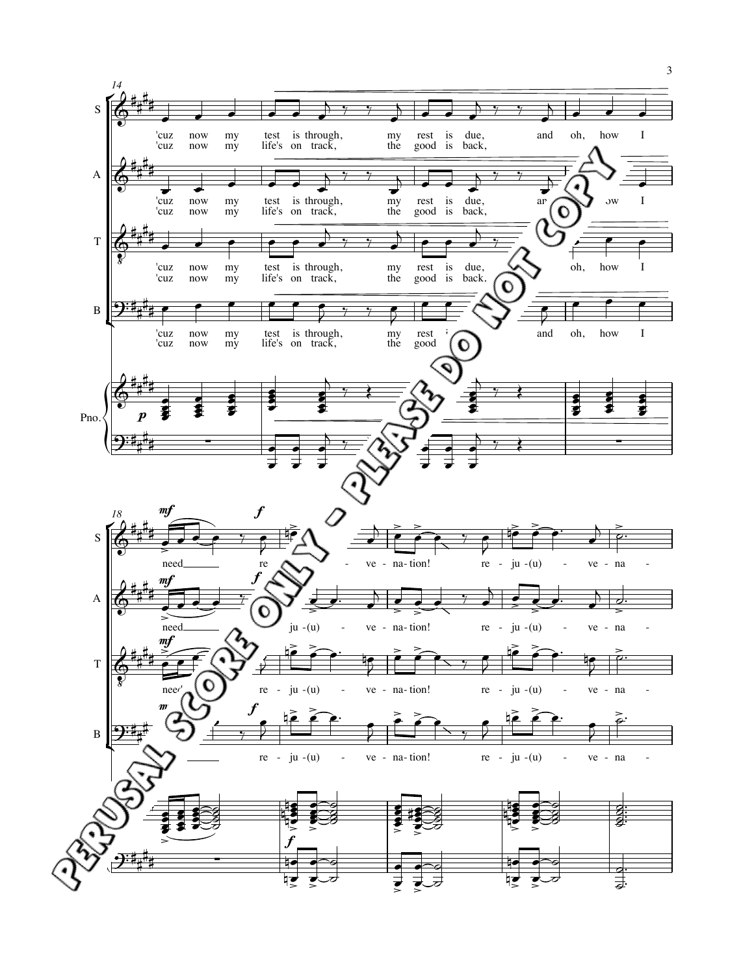

3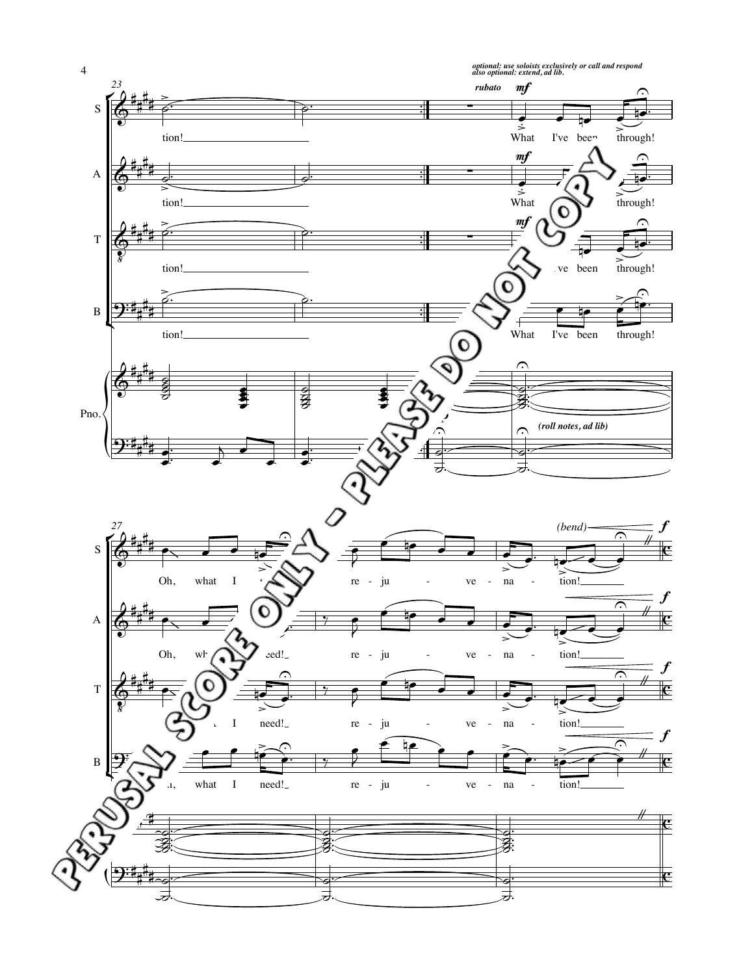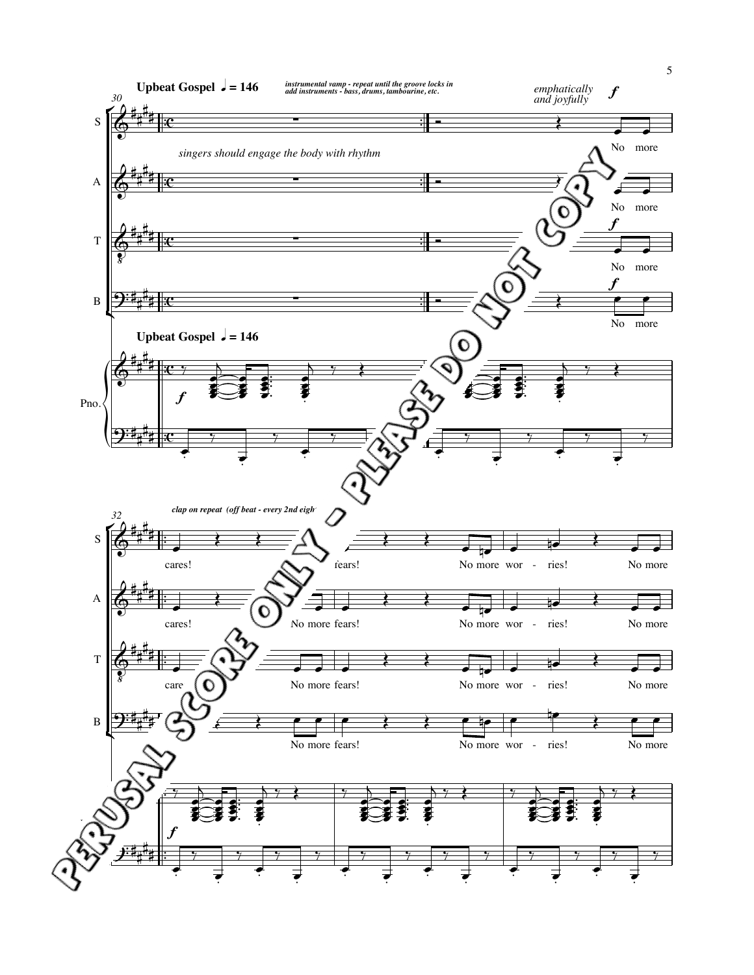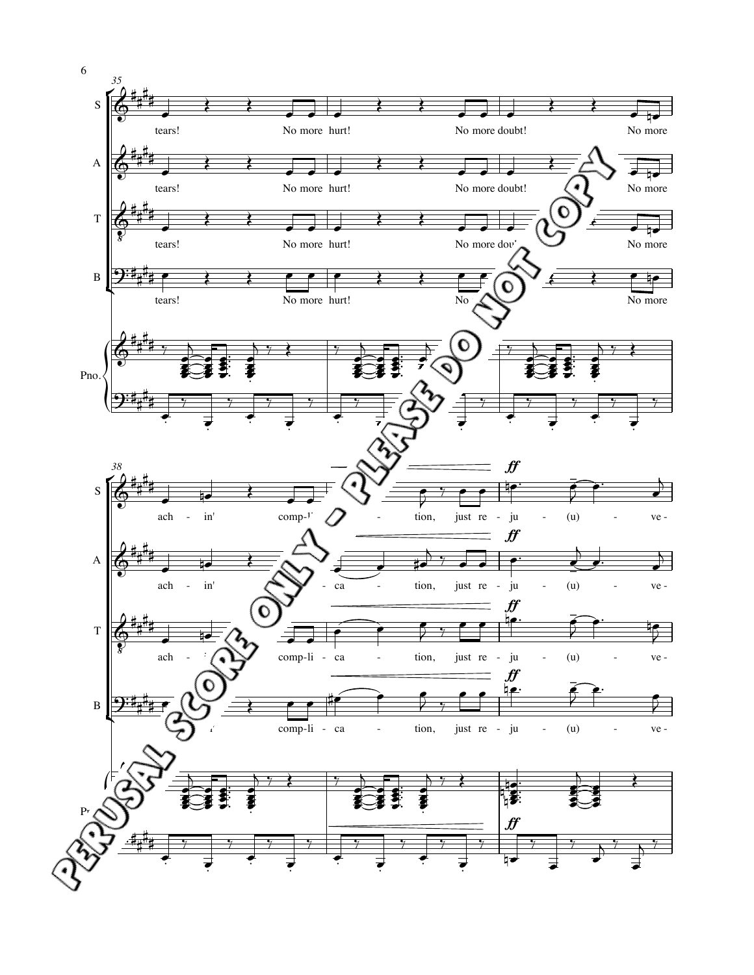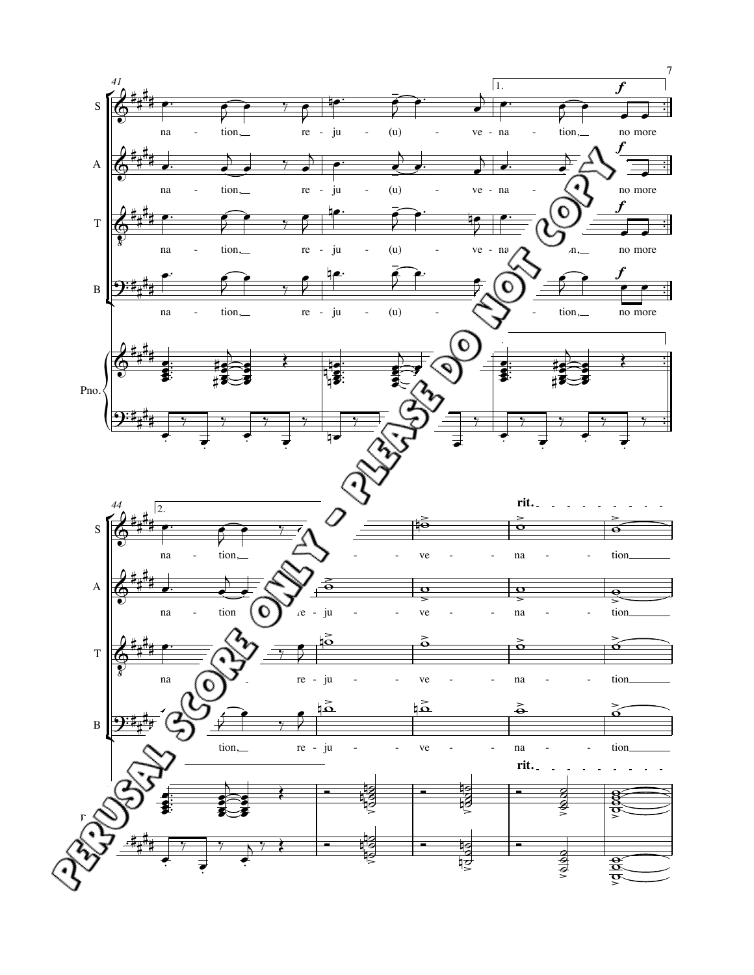